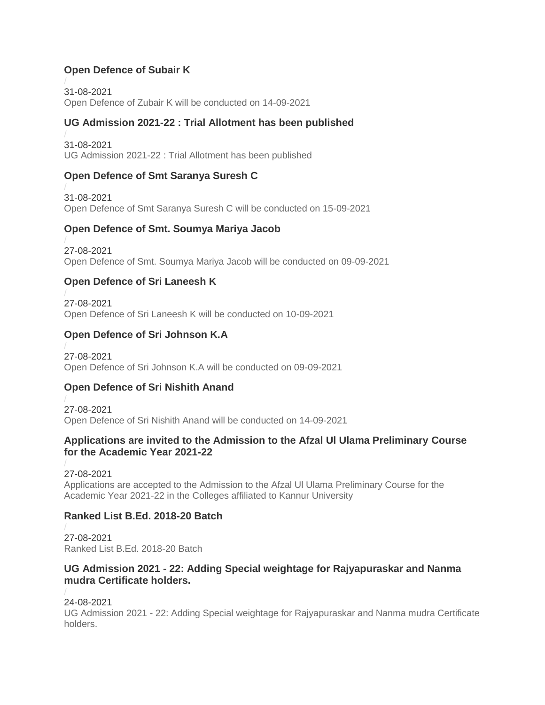## **Open Defence of Subair K**

31-08-2021 [Open Defence of Zubair K will be conducted on 14-09-2021](https://kannuruniversity.ac.in/media/documents/PR_Subair_K.pdf)

## **UG Admission 2021-22 : Trial Allotment has been published**

31-08-2021 [UG Admission 2021-22 : Trial Allotment has been published](https://kannuruniversity.ac.in/media/documents/Press_Release-Trial_Allotment.pdf)

## **Open Defence of Smt Saranya Suresh C**

31-08-2021 [Open Defence of Smt Saranya Suresh C will be conducted on 15-09-2021](https://kannuruniversity.ac.in/media/documents/opend_defence_saranyasuresh.pdf)

### **Open Defence of Smt. Soumya Mariya Jacob**

27-08-2021 [Open Defence of Smt. Soumya Mariya Jacob will be conducted on 09-09-2021](https://kannuruniversity.ac.in/media/documents/Press_SMJ_69kQfcu.pdf)

# **Open Defence of Sri Laneesh K**

27-08-2021 [Open Defence of Sri Laneesh K will be conducted on 10-09-2021](https://kannuruniversity.ac.in/media/documents/LANEESH_PRESS_2.pdf)

## **Open Defence of Sri Johnson K.A**

27-08-2021 [Open Defence of Sri Johnson K.A will be conducted on 09-09-2021](https://kannuruniversity.ac.in/media/documents/JOHNSON_PRESS_EYmM9IN.pdf)

### **Open Defence of Sri Nishith Anand**

27-08-2021 [Open Defence of Sri Nishith Anand will be conducted on 14-09-2021](https://kannuruniversity.ac.in/media/documents/NISHITH_PRESS.pdf)

### **Applications are invited to the Admission to the Afzal Ul Ulama Preliminary Course for the Academic Year 2021-22**

27-08-2021 [Applications are accepted to the Admission to the Afzal Ul Ulama](https://kannuruniversity.ac.in/media/documents/press_afsal_ul_ulama_27-08-2021.pdf) Preliminary Course for the [Academic Year 2021-22 in the Colleges affiliated to Kannur University](https://kannuruniversity.ac.in/media/documents/press_afsal_ul_ulama_27-08-2021.pdf)

### **Ranked List B.Ed. 2018-20 Batch**

27-08-2021 [Ranked List B.Ed. 2018-20 Batch](https://kannuruniversity.ac.in/media/documents/ranklist_bed.pdf)

### **UG Admission 2021 - 22: Adding Special weightage for Rajyapuraskar and Nanma mudra Certificate holders.**

### 24-08-2021

UG Admission 2021 - [22: Adding Special weightage for Rajyapuraskar and Nanma mudra Certificate](https://kannuruniversity.ac.in/media/documents/press_swc_24-08-2021.pdf)  [holders.](https://kannuruniversity.ac.in/media/documents/press_swc_24-08-2021.pdf)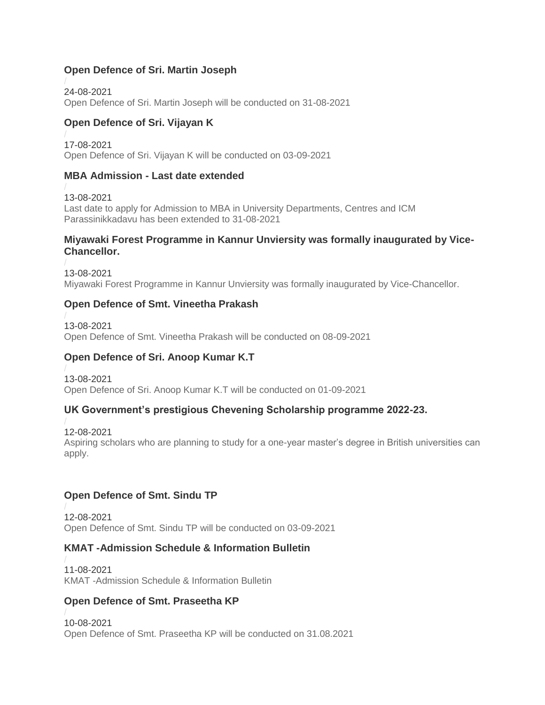### **Open Defence of Sri. Martin Joseph**

24-08-2021 [Open Defence of Sri. Martin Joseph will be conducted on 31-08-2021](https://kannuruniversity.ac.in/media/documents/Press_Release_Martin_Joseph.pdf)

## **Open Defence of Sri. Vijayan K**

17-08-2021 [Open Defence of Sri. Vijayan K will be conducted on 03-09-2021](https://kannuruniversity.ac.in/media/documents/press_od_vijayan.pdf)

### **MBA Admission - Last date extended**

13-08-2021 [Last date to apply for Admission to MBA in University Departments, Centres and ICM](https://kannuruniversity.ac.in/media/documents/MBA-last_date_extension.pdf)  [Parassinikkadavu has been extended to 31-08-2021](https://kannuruniversity.ac.in/media/documents/MBA-last_date_extension.pdf)

#### **Miyawaki Forest Programme in Kannur Unviersity was formally inaugurated by Vice-Chancellor.**

13-08-2021 [Miyawaki Forest Programme in Kannur Unviersity](https://kannuruniversity.ac.in/media/documents/PRESS_RELEASE_12-08-2021_MIYAWAKI.pdf) was formally inaugurated by Vice-Chancellor.

### **Open Defence of Smt. Vineetha Prakash**

13-08-2021 [Open Defence of Smt. Vineetha Prakash will be conducted on 08-09-2021](https://kannuruniversity.ac.in/media/documents/vineetha_PR.pdf)

### **Open Defence of Sri. Anoop Kumar K.T**

13-08-2021 [Open Defence of Sri. Anoop Kumar K.T will be conducted on 01-09-2021](https://kannuruniversity.ac.in/media/documents/anooppres-1pdf.pdf)

### **UK Government's prestigious Chevening Scholarship programme 2022-23.**

12-08-2021 [Aspiring scholars who are planning to study for a one-year master's degree in British universities can](https://kannuruniversity.ac.in/media/documents/press_scholarship.pdf)  [apply.](https://kannuruniversity.ac.in/media/documents/press_scholarship.pdf)

# **Open Defence of Smt. Sindu TP**

12-08-2021 [Open Defence of Smt. Sindu TP will be conducted on 03-09-2021](https://kannuruniversity.ac.in/media/documents/open_defence_sind.pdf)

### **KMAT -Admission Schedule & Information Bulletin**

11-08-2021 [KMAT -Admission Schedule & Information Bulletin](https://kannuruniversity.ac.in/media/documents/Admission_Schedule_K_MAT_2021-merged.pdf)

### **Open Defence of Smt. Praseetha KP**

10-08-2021 [Open Defence of Smt. Praseetha KP will be conducted on 31.08.2021](https://kannuruniversity.ac.in/media/documents/Press_Praseetha.pdf)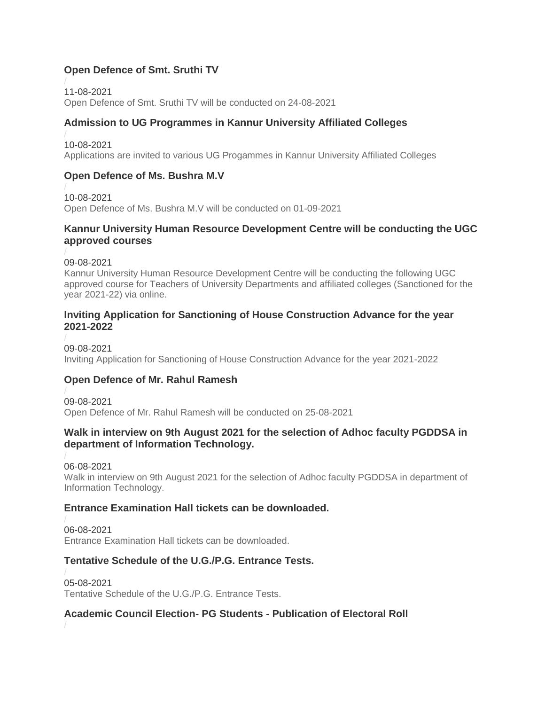## **Open Defence of Smt. Sruthi TV**

11-08-2021 [Open Defence of Smt. Sruthi TV will be conducted on 24-08-2021](https://kannuruniversity.ac.in/media/documents/sruthipress_pdf.pdf)

## **Admission to UG Programmes in Kannur University Affiliated Colleges**

10-08-2021 Applications are invited to various UG [Progammes in Kannur University Affiliated Colleges](https://kannuruniversity.ac.in/media/documents/U.G._Registration.pdf)

## **Open Defence of Ms. Bushra M.V**

10-08-2021 [Open Defence of Ms. Bushra M.V will be conducted on 01-09-2021](https://kannuruniversity.ac.in/media/documents/bushaa.pdf)

### **Kannur University Human Resource Development Centre will be conducting the UGC approved courses**

09-08-2021

[Kannur University Human Resource Development Centre will be conducting the following UGC](https://kannuruniversity.ac.in/media/documents/press_release21-22-NEW.pdf)  [approved course for Teachers of University Departments and affiliated colleges \(Sanctioned for the](https://kannuruniversity.ac.in/media/documents/press_release21-22-NEW.pdf)  [year 2021-22\) via online.](https://kannuruniversity.ac.in/media/documents/press_release21-22-NEW.pdf)

#### **Inviting Application for Sanctioning of House Construction Advance for the year 2021-2022**

09-08-2021 [Inviting Application for Sanctioning of House Construction Advance for the year 2021-2022](https://kannuruniversity.ac.in/media/documents/circular_allowance_090-08-2021.pdf)

### **Open Defence of Mr. Rahul Ramesh**

09-08-2021 [Open Defence of Mr. Rahul Ramesh will be conducted on 25-08-2021](https://kannuruniversity.ac.in/media/documents/rahul_pres.pdf)

### **Walk in interview on 9th August 2021 for the selection of Adhoc faculty PGDDSA in department of Information Technology.**

06-08-2021

[Walk in interview on 9th August 2021 for the selection of Adhoc faculty PGDDSA in department of](https://kannuruniversity.ac.in/media/documents/Walk_in_Interview___Notification_in_Malayalam.pdf)  [Information Technology.](https://kannuruniversity.ac.in/media/documents/Walk_in_Interview___Notification_in_Malayalam.pdf)

### **Entrance Examination Hall tickets can be downloaded.**

06-08-2021 [Entrance Examination Hall tickets can be downloaded.](https://kannuruniversity.ac.in/media/documents/entrance_hall_ticket_2021.pdf)

### **Tentative Schedule of the U.G./P.G. Entrance Tests.**

05-08-2021 [Tentative Schedule of the U.G./P.G. Entrance Tests.](https://kannuruniversity.ac.in/media/documents/entrance_schedule_press.pdf)

### **Academic Council Election- PG Students - Publication of Electoral Roll**